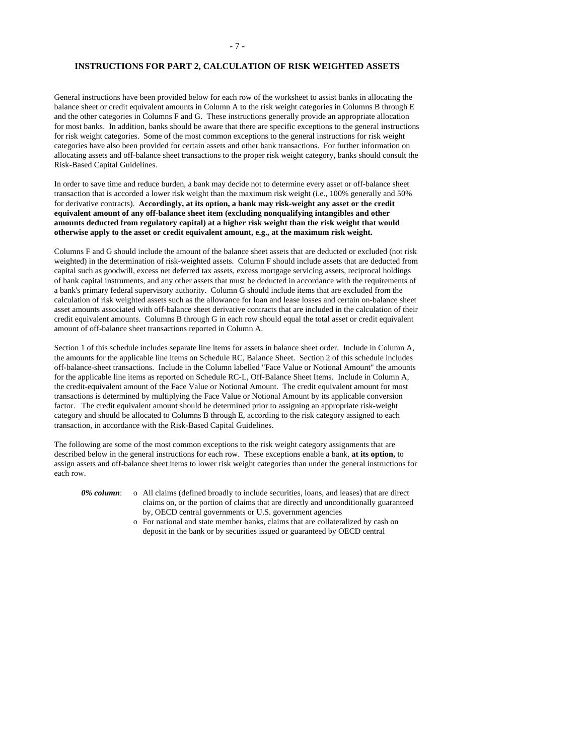# **INSTRUCTIONS FOR PART 2, CALCULATION OF RISK WEIGHTED ASSETS**

General instructions have been provided below for each row of the worksheet to assist banks in allocating the balance sheet or credit equivalent amounts in Column A to the risk weight categories in Columns B through E and the other categories in Columns F and G. These instructions generally provide an appropriate allocation for most banks. In addition, banks should be aware that there are specific exceptions to the general instructions for risk weight categories. Some of the most common exceptions to the general instructions for risk weight categories have also been provided for certain assets and other bank transactions. For further information on allocating assets and off-balance sheet transactions to the proper risk weight category, banks should consult the Risk-Based Capital Guidelines.

In order to save time and reduce burden, a bank may decide not to determine every asset or off-balance sheet transaction that is accorded a lower risk weight than the maximum risk weight (i.e., 100% generally and 50% for derivative contracts). **Accordingly, at its option, a bank may risk-weight any asset or the credit equivalent amount of any off-balance sheet item (excluding nonqualifying intangibles and other amounts deducted from regulatory capital) at a higher risk weight than the risk weight that would otherwise apply to the asset or credit equivalent amount, e.g., at the maximum risk weight.**

Columns F and G should include the amount of the balance sheet assets that are deducted or excluded (not risk weighted) in the determination of risk-weighted assets. Column F should include assets that are deducted from capital such as goodwill, excess net deferred tax assets, excess mortgage servicing assets, reciprocal holdings of bank capital instruments, and any other assets that must be deducted in accordance with the requirements of a bank's primary federal supervisory authority. Column G should include items that are excluded from the calculation of risk weighted assets such as the allowance for loan and lease losses and certain on-balance sheet asset amounts associated with off-balance sheet derivative contracts that are included in the calculation of their credit equivalent amounts. Columns B through G in each row should equal the total asset or credit equivalent amount of off-balance sheet transactions reported in Column A.

Section 1 of this schedule includes separate line items for assets in balance sheet order. Include in Column A, the amounts for the applicable line items on Schedule RC, Balance Sheet. Section 2 of this schedule includes off-balance-sheet transactions. Include in the Column labelled "Face Value or Notional Amount" the amounts for the applicable line items as reported on Schedule RC-L, Off-Balance Sheet Items. Include in Column A, the credit-equivalent amount of the Face Value or Notional Amount. The credit equivalent amount for most transactions is determined by multiplying the Face Value or Notional Amount by its applicable conversion factor. The credit equivalent amount should be determined prior to assigning an appropriate risk-weight category and should be allocated to Columns B through E, according to the risk category assigned to each transaction, in accordance with the Risk-Based Capital Guidelines.

The following are some of the most common exceptions to the risk weight category assignments that are described below in the general instructions for each row. These exceptions enable a bank, **at its option,** to assign assets and off-balance sheet items to lower risk weight categories than under the general instructions for each row.

- *0% column*: o All claims (defined broadly to include securities, loans, and leases) that are direct claims on, or the portion of claims that are directly and unconditionally guaranteed by, OECD central governments or U.S. government agencies
	- o For national and state member banks, claims that are collateralized by cash on deposit in the bank or by securities issued or guaranteed by OECD central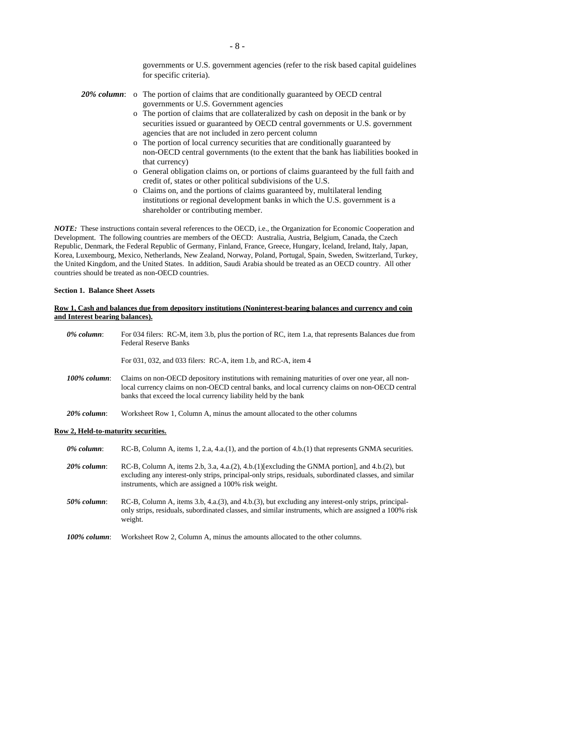governments or U.S. government agencies (refer to the risk based capital guidelines for specific criteria).

- *20% column*: o The portion of claims that are conditionally guaranteed by OECD central governments or U.S. Government agencies
	- o The portion of claims that are collateralized by cash on deposit in the bank or by securities issued or guaranteed by OECD central governments or U.S. government agencies that are not included in zero percent column
	- o The portion of local currency securities that are conditionally guaranteed by non-OECD central governments (to the extent that the bank has liabilities booked in that currency)
	- o General obligation claims on, or portions of claims guaranteed by the full faith and credit of, states or other political subdivisions of the U.S.
	- o Claims on, and the portions of claims guaranteed by, multilateral lending institutions or regional development banks in which the U.S. government is a shareholder or contributing member.

*NOTE:* These instructions contain several references to the OECD, i.e., the Organization for Economic Cooperation and Development. The following countries are members of the OECD: Australia, Austria, Belgium, Canada, the Czech Republic, Denmark, the Federal Republic of Germany, Finland, France, Greece, Hungary, Iceland, Ireland, Italy, Japan, Korea, Luxembourg, Mexico, Netherlands, New Zealand, Norway, Poland, Portugal, Spain, Sweden, Switzerland, Turkey, the United Kingdom, and the United States. In addition, Saudi Arabia should be treated as an OECD country. All other countries should be treated as non-OECD countries.

## **Section 1. Balance Sheet Assets**

## **Row 1, Cash and balances due from depository institutions (Noninterest-bearing balances and currency and coin and Interest bearing balances).**

| 0% column:      | For 034 filers: RC-M, item 3.b, plus the portion of RC, item 1.a, that represents Balances due from<br><b>Federal Reserve Banks</b>                                                                                                                                  |
|-----------------|----------------------------------------------------------------------------------------------------------------------------------------------------------------------------------------------------------------------------------------------------------------------|
|                 | For 031, 032, and 033 filers: RC-A, item 1.b, and RC-A, item 4                                                                                                                                                                                                       |
| $100\%$ column: | Claims on non-OECD depository institutions with remaining maturities of over one year, all non-<br>local currency claims on non-OECD central banks, and local currency claims on non-OECD central<br>banks that exceed the local currency liability held by the bank |
| $20\%$ column:  | Worksheet Row 1, Column A, minus the amount allocated to the other columns                                                                                                                                                                                           |
|                 |                                                                                                                                                                                                                                                                      |

### **Row 2, Held-to-maturity securities.**

| 0% column:     | RC-B, Column A, items $1, 2.a, 4.a.(1)$ , and the portion of $4.b.(1)$ that represents GNMA securities.                                                                                                                                                          |  |
|----------------|------------------------------------------------------------------------------------------------------------------------------------------------------------------------------------------------------------------------------------------------------------------|--|
| $20\%$ column: | RC-B, Column A, items 2.b, 3.a, 4.a.(2), 4.b.(1)[excluding the GNMA portion], and 4.b.(2), but<br>excluding any interest-only strips, principal-only strips, residuals, subordinated classes, and similar<br>instruments, which are assigned a 100% risk weight. |  |
| $50\%$ column: | $RC-B$ , Column A, items 3.b, 4.a.(3), and 4.b.(3), but excluding any interest-only strips, principal-<br>only strips, residuals, subordinated classes, and similar instruments, which are assigned a 100% risk                                                  |  |

- only strips, residuals, subordinated classes, and similar instruments, which are assigned a 100% risk weight.
- *100% column*: Worksheet Row 2, Column A, minus the amounts allocated to the other columns.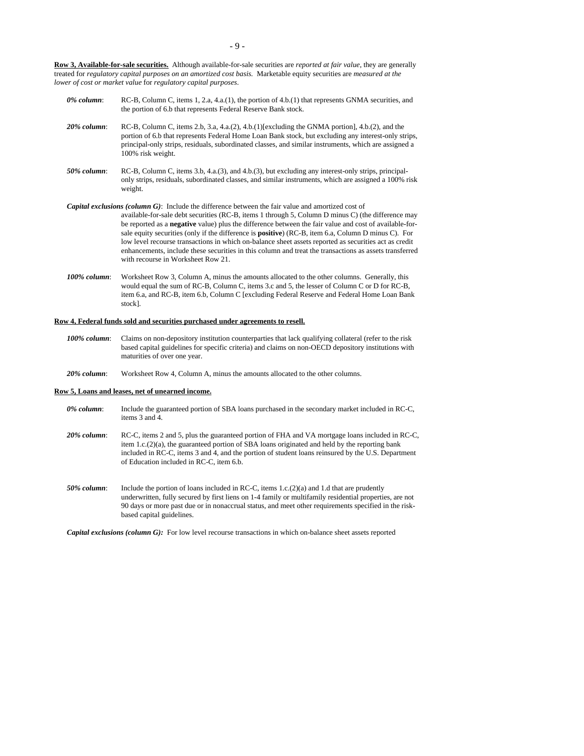**Row 3, Available-for-sale securities.** Although available-for-sale securities are *reported at fair value*, they are generally treated for *regulatory capital purposes on an amortized cost basis.* Marketable equity securities are *measured at the lower of cost or market value* for *regulatory capital purposes*.

| $0\%$ column:  | RC-B, Column C, items 1, 2.a, 4.a.(1), the portion of $4.b.(1)$ that represents GNMA securities, and<br>the portion of 6.b that represents Federal Reserve Bank stock.                                                                                                                                                               |
|----------------|--------------------------------------------------------------------------------------------------------------------------------------------------------------------------------------------------------------------------------------------------------------------------------------------------------------------------------------|
| $20\%$ column: | RC-B, Column C, items 2.b, 3.a, 4.a.(2), 4.b.(1)[excluding the GNMA portion], 4.b.(2), and the<br>portion of 6.b that represents Federal Home Loan Bank stock, but excluding any interest-only strips,<br>principal-only strips, residuals, subordinated classes, and similar instruments, which are assigned a<br>100% risk weight. |
| $50\%$ column: | RC-B, Column C, items 3.b, 4.a.(3), and 4.b.(3), but excluding any interest-only strips, principal-<br>only strips, residuals, subordinated classes, and similar instruments, which are assigned a 100% risk<br>weight.                                                                                                              |
|                | <b>Capital exclusions (column G):</b> Include the difference between the fair value and amortized cost of<br>available-for-sale debt securities (RC-B, items 1 through 5, Column D minus C) (the difference may<br>be reported as a <b>negative</b> value) plus the difference between the fair value and cost of available-for-     |

- sale equity securities (only if the difference is **positive**) (RC-B, item 6.a, Column D minus C). For low level recourse transactions in which on-balance sheet assets reported as securities act as credit enhancements, include these securities in this column and treat the transactions as assets transferred with recourse in Worksheet Row 21.
- *100% column*: Worksheet Row 3, Column A, minus the amounts allocated to the other columns. Generally, this would equal the sum of RC-B, Column C, items 3.c and 5, the lesser of Column C or D for RC-B, item 6.a, and RC-B, item 6.b, Column C [excluding Federal Reserve and Federal Home Loan Bank stock].

### **Row 4, Federal funds sold and securities purchased under agreements to resell.**

- *100% column*: Claims on non-depository institution counterparties that lack qualifying collateral (refer to the risk based capital guidelines for specific criteria) and claims on non-OECD depository institutions with maturities of over one year.
- *20% column*: Worksheet Row 4, Column A, minus the amounts allocated to the other columns.

### **Row 5, Loans and leases, net of unearned income.**

- *0% column*: Include the guaranteed portion of SBA loans purchased in the secondary market included in RC-C, items 3 and 4.
- *20% column*: RC-C, items 2 and 5, plus the guaranteed portion of FHA and VA mortgage loans included in RC-C, item 1.c.(2)(a), the guaranteed portion of SBA loans originated and held by the reporting bank included in RC-C, items 3 and 4, and the portion of student loans reinsured by the U.S. Department of Education included in RC-C, item 6.b.
- *50% column*: Include the portion of loans included in RC-C, items 1.c.(2)(a) and 1.d that are prudently underwritten, fully secured by first liens on 1-4 family or multifamily residential properties, are not 90 days or more past due or in nonaccrual status, and meet other requirements specified in the riskbased capital guidelines.

*Capital exclusions (column G):* For low level recourse transactions in which on-balance sheet assets reported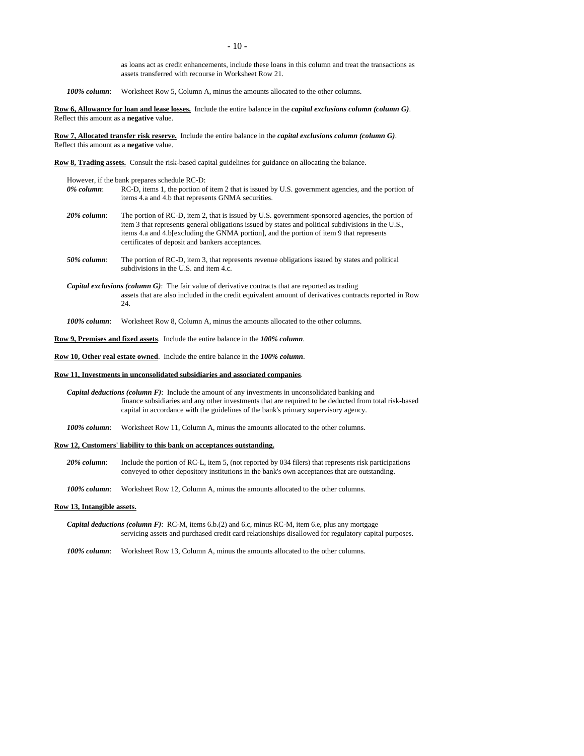as loans act as credit enhancements, include these loans in this column and treat the transactions as assets transferred with recourse in Worksheet Row 21.

*100% column*: Worksheet Row 5, Column A, minus the amounts allocated to the other columns.

**Row 6, Allowance for loan and lease losses.** Include the entire balance in the *capital exclusions column (column G)*. Reflect this amount as a **negative** value.

**Row 7, Allocated transfer risk reserve.** Include the entire balance in the *capital exclusions column (column G)*. Reflect this amount as a **negative** value.

**Row 8, Trading assets.** Consult the risk-based capital guidelines for guidance on allocating the balance.

However, if the bank prepares schedule RC-D:

- *0% column*: RC-D, items 1, the portion of item 2 that is issued by U.S. government agencies, and the portion of items 4.a and 4.b that represents GNMA securities.
- *20% column*: The portion of RC-D, item 2, that is issued by U.S. government-sponsored agencies, the portion of item 3 that represents general obligations issued by states and political subdivisions in the U.S., items 4.a and 4.b[excluding the GNMA portion], and the portion of item 9 that represents certificates of deposit and bankers acceptances.
- *50% column*: The portion of RC-D, item 3, that represents revenue obligations issued by states and political subdivisions in the U.S. and item 4.c.
- *Capital exclusions (column G)*: The fair value of derivative contracts that are reported as trading assets that are also included in the credit equivalent amount of derivatives contracts reported in Row 24.

*100% column*: Worksheet Row 8, Column A, minus the amounts allocated to the other columns.

**Row 9, Premises and fixed assets**. Include the entire balance in the *100% column*.

**Row 10, Other real estate owned**. Include the entire balance in the *100% column*.

### **Row 11, Investments in unconsolidated subsidiaries and associated companies**.

- *Capital deductions (column F)*: Include the amount of any investments in unconsolidated banking and finance subsidiaries and any other investments that are required to be deducted from total risk-based capital in accordance with the guidelines of the bank's primary supervisory agency.
- *100% column*: Worksheet Row 11, Column A, minus the amounts allocated to the other columns.

# **Row 12, Customers' liability to this bank on acceptances outstanding.**

*20% column*: Include the portion of RC-L, item 5, (not reported by 034 filers) that represents risk participations conveyed to other depository institutions in the bank's own acceptances that are outstanding.

*100% column*: Worksheet Row 12, Column A, minus the amounts allocated to the other columns.

### **Row 13, Intangible assets.**

*Capital deductions (column F)*: RC-M, items 6.b.(2) and 6.c, minus RC-M, item 6.e, plus any mortgage servicing assets and purchased credit card relationships disallowed for regulatory capital purposes.

*100% column*: Worksheet Row 13, Column A, minus the amounts allocated to the other columns.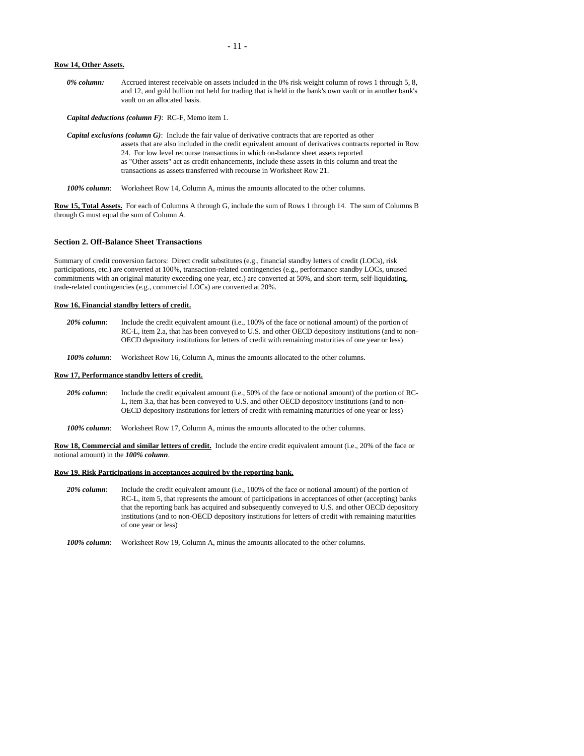#### **Row 14, Other Assets.**

*0% column:* Accrued interest receivable on assets included in the 0% risk weight column of rows 1 through 5, 8, and 12, and gold bullion not held for trading that is held in the bank's own vault or in another bank's vault on an allocated basis.

*Capital deductions (column F)*: RC-F, Memo item 1.

*Capital exclusions (column G)*: Include the fair value of derivative contracts that are reported as other assets that are also included in the credit equivalent amount of derivatives contracts reported in Row 24. For low level recourse transactions in which on-balance sheet assets reported as "Other assets" act as credit enhancements, include these assets in this column and treat the transactions as assets transferred with recourse in Worksheet Row 21.

*100% column*: Worksheet Row 14, Column A, minus the amounts allocated to the other columns.

**Row 15, Total Assets.** For each of Columns A through G, include the sum of Rows 1 through 14. The sum of Columns B through G must equal the sum of Column A.

# **Section 2. Off-Balance Sheet Transactions**

Summary of credit conversion factors: Direct credit substitutes (e.g., financial standby letters of credit (LOCs), risk participations, etc.) are converted at 100%, transaction-related contingencies (e.g., performance standby LOCs, unused commitments with an original maturity exceeding one year, etc.) are converted at 50%, and short-term, self-liquidating, trade-related contingencies (e.g., commercial LOCs) are converted at 20%.

### **Row 16, Financial standby letters of credit.**

- 20% column: Include the credit equivalent amount (i.e., 100% of the face or notional amount) of the portion of RC-L, item 2.a, that has been conveyed to U.S. and other OECD depository institutions (and to non-OECD depository institutions for letters of credit with remaining maturities of one year or less)
- *100% column*: Worksheet Row 16, Column A, minus the amounts allocated to the other columns.

### **Row 17, Performance standby letters of credit.**

- *20% column*: Include the credit equivalent amount (i.e., 50% of the face or notional amount) of the portion of RC-L, item 3.a, that has been conveyed to U.S. and other OECD depository institutions (and to non-OECD depository institutions for letters of credit with remaining maturities of one year or less)
- *100% column*: Worksheet Row 17, Column A, minus the amounts allocated to the other columns.

**Row 18, Commercial and similar letters of credit.** Include the entire credit equivalent amount (i.e., 20% of the face or notional amount) in the *100% column*.

### **Row 19, Risk Participations in acceptances acquired by the reporting bank.**

- *20% column*: Include the credit equivalent amount (i.e., 100% of the face or notional amount) of the portion of RC-L, item 5, that represents the amount of participations in acceptances of other (accepting) banks that the reporting bank has acquired and subsequently conveyed to U.S. and other OECD depository institutions (and to non-OECD depository institutions for letters of credit with remaining maturities of one year or less)
- *100% column*: Worksheet Row 19, Column A, minus the amounts allocated to the other columns.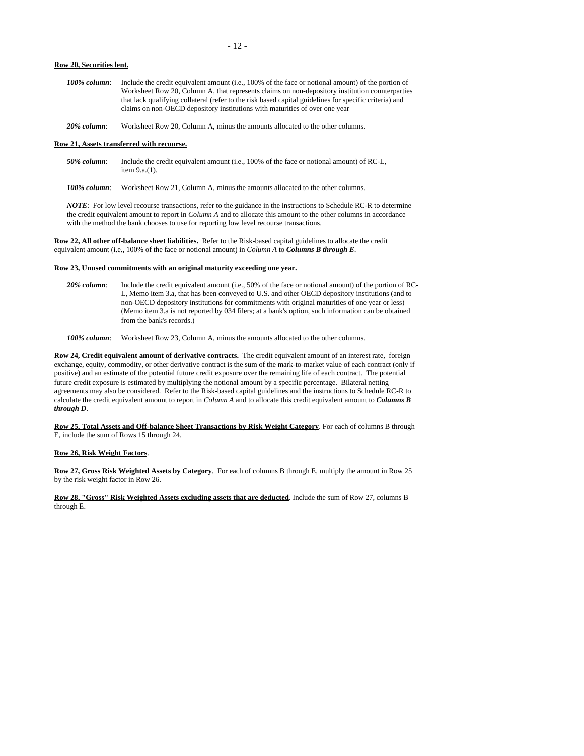### **Row 20, Securities lent.**

- *100% column*: Include the credit equivalent amount (i.e., 100% of the face or notional amount) of the portion of Worksheet Row 20, Column A, that represents claims on non-depository institution counterparties that lack qualifying collateral (refer to the risk based capital guidelines for specific criteria) and claims on non-OECD depository institutions with maturities of over one year
- *20% column*: Worksheet Row 20, Column A, minus the amounts allocated to the other columns.

### **Row 21, Assets transferred with recourse.**

- *50% column*: Include the credit equivalent amount (i.e., 100% of the face or notional amount) of RC-L, item 9.a.(1).
- *100% column*: Worksheet Row 21, Column A, minus the amounts allocated to the other columns.

*NOTE*: For low level recourse transactions, refer to the guidance in the instructions to Schedule RC-R to determine the credit equivalent amount to report in *Column A* and to allocate this amount to the other columns in accordance with the method the bank chooses to use for reporting low level recourse transactions.

**Row 22, All other off-balance sheet liabilities.** Refer to the Risk-based capital guidelines to allocate the credit equivalent amount (i.e., 100% of the face or notional amount) in *Column A* to *Columns B through E*.

# **Row 23, Unused commitments with an original maturity exceeding one year.**

*20% column*: Include the credit equivalent amount (i.e., 50% of the face or notional amount) of the portion of RC-L, Memo item 3.a, that has been conveyed to U.S. and other OECD depository institutions (and to non-OECD depository institutions for commitments with original maturities of one year or less) (Memo item 3.a is not reported by 034 filers; at a bank's option, such information can be obtained from the bank's records.)

*100% column*: Worksheet Row 23, Column A, minus the amounts allocated to the other columns.

**Row 24, Credit equivalent amount of derivative contracts.** The credit equivalent amount of an interest rate, foreign exchange, equity, commodity, or other derivative contract is the sum of the mark-to-market value of each contract (only if positive) and an estimate of the potential future credit exposure over the remaining life of each contract. The potential future credit exposure is estimated by multiplying the notional amount by a specific percentage. Bilateral netting agreements may also be considered. Refer to the Risk-based capital guidelines and the instructions to Schedule RC-R to calculate the credit equivalent amount to report in *Column A* and to allocate this credit equivalent amount to *Columns B through D*.

**Row 25, Total Assets and Off-balance Sheet Transactions by Risk Weight Category**. For each of columns B through E, include the sum of Rows 15 through 24.

### **Row 26, Risk Weight Factors**.

**Row 27, Gross Risk Weighted Assets by Category**. For each of columns B through E, multiply the amount in Row 25 by the risk weight factor in Row 26.

**Row 28, "Gross" Risk Weighted Assets excluding assets that are deducted**. Include the sum of Row 27, columns B through E.